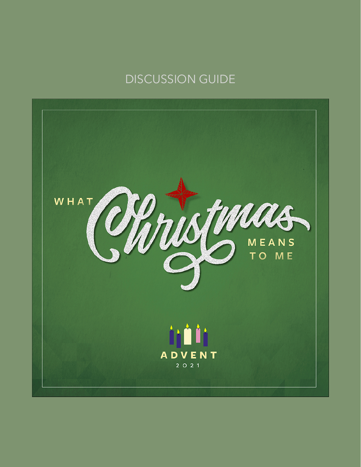## DISCUSSION GUIDE

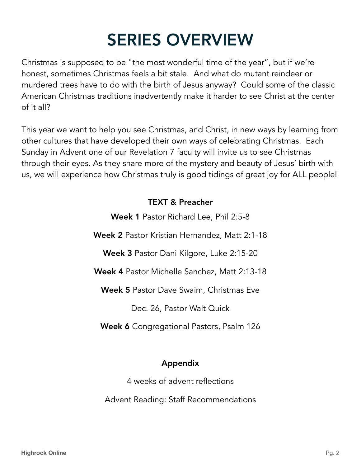# SERIES OVERVIEW

Christmas is supposed to be "the most wonderful time of the year", but if we're honest, sometimes Christmas feels a bit stale. And what do mutant reindeer or murdered trees have to do with the birth of Jesus anyway? Could some of the classic American Christmas traditions inadvertently make it harder to see Christ at the center of it all?

This year we want to help you see Christmas, and Christ, in new ways by learning from other cultures that have developed their own ways of celebrating Christmas. Each Sunday in Advent one of our Revelation 7 faculty will invite us to see Christmas through their eyes. As they share more of the mystery and beauty of Jesus' birth with us, we will experience how Christmas truly is good tidings of great joy for ALL people!

## TEXT & Preacher

Week 1 Pastor Richard Lee, Phil 2:5-8 Week 2 Pastor Kristian Hernandez, Matt 2:1-18 Week 3 Pastor Dani Kilgore, Luke 2:15-20 Week 4 Pastor Michelle Sanchez, Matt 2:13-18 Week 5 Pastor Dave Swaim, Christmas Eve Dec. 26, Pastor Walt Quick Week 6 Congregational Pastors, Psalm 126

## Appendix

4 weeks of advent reflections

Advent Reading: Staff Recommendations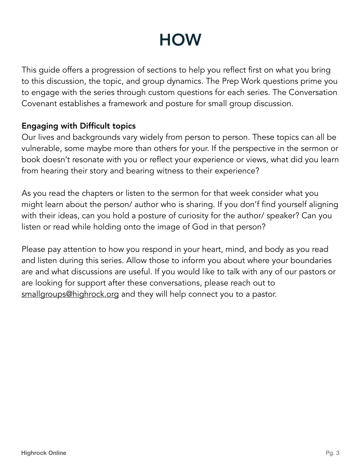## **HOW**

This guide offers a progression of sections to help you reflect first on what you bring to this discussion, the topic, and group dynamics. The Prep Work questions prime you to engage with the series through custom questions for each series. The Conversation Covenant establishes a framework and posture for small group discussion.

#### Engaging with Difficult topics

Our lives and backgrounds vary widely from person to person. These topics can all be vulnerable, some maybe more than others for your. If the perspective in the sermon or book doesn't resonate with you or reflect your experience or views, what did you learn from hearing their story and bearing witness to their experience?

As you read the chapters or listen to the sermon for that week consider what you might learn about the person/ author who is sharing. If you don'f find yourself aligning with their ideas, can you hold a posture of curiosity for the author/ speaker? Can you listen or read while holding onto the image of God in that person?

Please pay attention to how you respond in your heart, mind, and body as you read and listen during this series. Allow those to inform you about where your boundaries are and what discussions are useful. If you would like to talk with any of our pastors or are looking for support after these conversations, please reach out to [smallgroups@highrock.org](mailto:smallgroups@highrock.org) and they will help connect you to a pastor.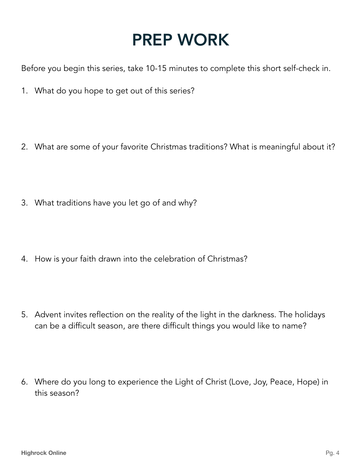## PREP WORK

Before you begin this series, take 10-15 minutes to complete this short self-check in.

- 1. What do you hope to get out of this series?
- 2. What are some of your favorite Christmas traditions? What is meaningful about it?
- 3. What traditions have you let go of and why?
- 4. How is your faith drawn into the celebration of Christmas?
- 5. Advent invites reflection on the reality of the light in the darkness. The holidays can be a difficult season, are there difficult things you would like to name?
- 6. Where do you long to experience the Light of Christ (Love, Joy, Peace, Hope) in this season?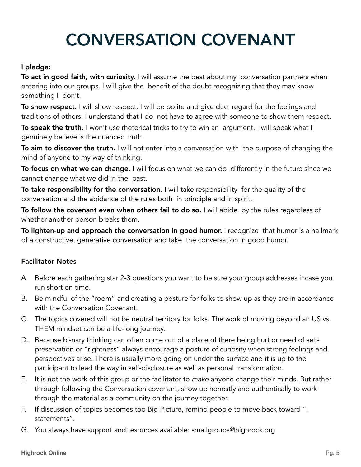# CONVERSATION COVENANT

#### I pledge:

To act in good faith, with curiosity. I will assume the best about my conversation partners when entering into our groups. I will give the benefit of the doubt recognizing that they may know something I don't.

To show respect. I will show respect. I will be polite and give due regard for the feelings and traditions of others. I understand that I do not have to agree with someone to show them respect.

**To speak the truth.** I won't use rhetorical tricks to try to win an argument. I will speak what I genuinely believe is the nuanced truth.

To aim to discover the truth. I will not enter into a conversation with the purpose of changing the mind of anyone to my way of thinking.

To focus on what we can change. I will focus on what we can do differently in the future since we cannot change what we did in the past.

To take responsibility for the conversation. I will take responsibility for the quality of the conversation and the abidance of the rules both in principle and in spirit.

To follow the covenant even when others fail to do so. I will abide by the rules regardless of whether another person breaks them.

To lighten-up and approach the conversation in good humor. I recognize that humor is a hallmark of a constructive, generative conversation and take the conversation in good humor.

#### Facilitator Notes

- A. Before each gathering star 2-3 questions you want to be sure your group addresses incase you run short on time.
- B. Be mindful of the "room" and creating a posture for folks to show up as they are in accordance with the Conversation Covenant.
- C. The topics covered will not be neutral territory for folks. The work of moving beyond an US vs. THEM mindset can be a life-long journey.
- D. Because bi-nary thinking can often come out of a place of there being hurt or need of selfpreservation or "rightness" always encourage a posture of curiosity when strong feelings and perspectives arise. There is usually more going on under the surface and it is up to the participant to lead the way in self-disclosure as well as personal transformation.
- E. It is not the work of this group or the facilitator to *make* anyone change their minds. But rather through following the Conversation covenant, show up honestly and authentically to work through the material as a community on the journey together.
- F. If discussion of topics becomes too Big Picture, remind people to move back toward "I statements".
- G. You always have support and resources available: smallgroups@highrock.org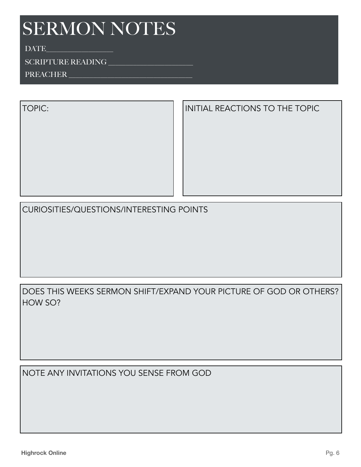DATE

#### SCRIPTURE READING \_\_\_\_\_\_\_\_\_\_\_\_\_\_\_\_\_\_\_\_\_\_\_\_

PREACHER

TOPIC: Initial REACTIONS TO THE TOPIC

CURIOSITIES/QUESTIONS/INTERESTING POINTS

DOES THIS WEEKS SERMON SHIFT/EXPAND YOUR PICTURE OF GOD OR OTHERS? HOW SO?

NOTE ANY INVITATIONS YOU SENSE FROM GOD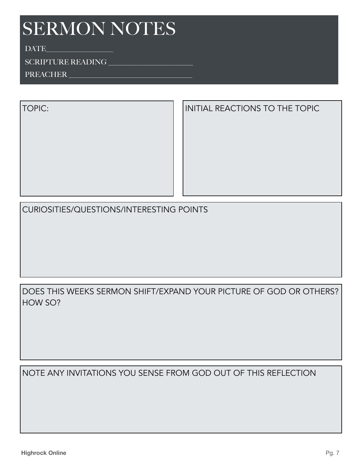DATE

## SCRIPTURE READING \_\_\_\_\_\_\_\_\_\_\_\_\_\_\_\_\_\_\_\_\_\_\_\_

PREACHER

TOPIC: Initial REACTIONS TO THE TOPIC

CURIOSITIES/QUESTIONS/INTERESTING POINTS

DOES THIS WEEKS SERMON SHIFT/EXPAND YOUR PICTURE OF GOD OR OTHERS? HOW SO?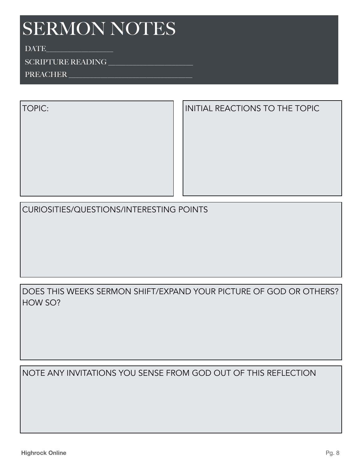DATE

#### $\begin{minipage}[c]{0.9\linewidth} SCRIPTURE READING \\ \hline \end{minipage}$

PREACHER

TOPIC: Initial REACTIONS TO THE TOPIC

CURIOSITIES/QUESTIONS/INTERESTING POINTS

DOES THIS WEEKS SERMON SHIFT/EXPAND YOUR PICTURE OF GOD OR OTHERS? HOW SO?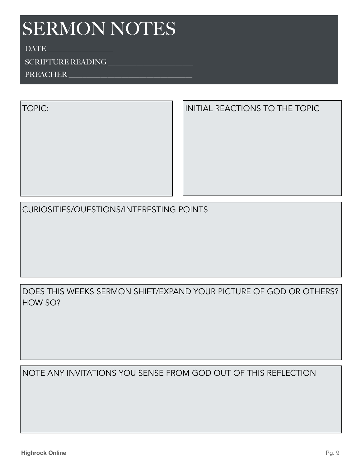DATE

#### $\begin{minipage}[c]{0.9\linewidth} SCRIPTURE READING \\ \hline \end{minipage}$

PREACHER

TOPIC: ILlENTIAL REACTIONS TO THE TOPIC

CURIOSITIES/QUESTIONS/INTERESTING POINTS

DOES THIS WEEKS SERMON SHIFT/EXPAND YOUR PICTURE OF GOD OR OTHERS? HOW SO?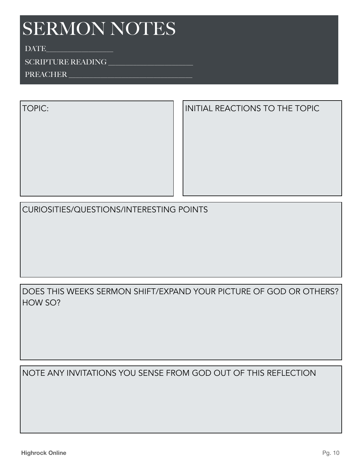DATE

## SCRIPTURE READING \_\_\_\_\_\_\_\_\_\_\_\_\_\_\_\_\_\_\_\_\_\_\_\_

PREACHER

TOPIC: Initial REACTIONS TO THE TOPIC

CURIOSITIES/QUESTIONS/INTERESTING POINTS

DOES THIS WEEKS SERMON SHIFT/EXPAND YOUR PICTURE OF GOD OR OTHERS? HOW SO?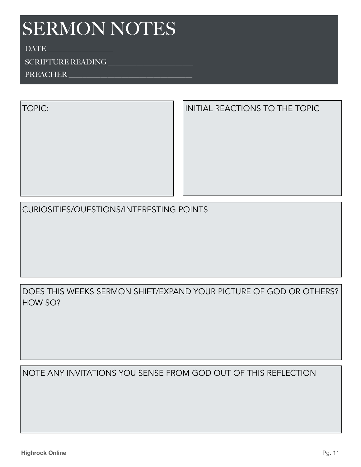DATE

## SCRIPTURE READING \_\_\_\_\_\_\_\_\_\_\_\_\_\_\_\_\_\_\_\_\_\_\_\_

PREACHER

TOPIC: Initial REACTIONS TO THE TOPIC

CURIOSITIES/QUESTIONS/INTERESTING POINTS

DOES THIS WEEKS SERMON SHIFT/EXPAND YOUR PICTURE OF GOD OR OTHERS? HOW SO?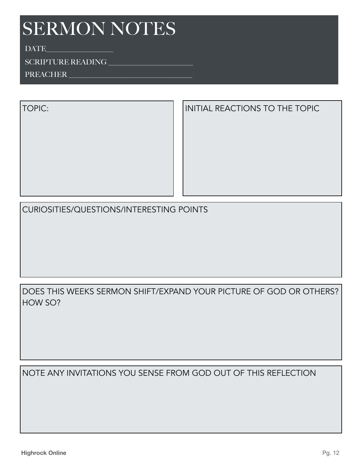DATE

## SCRIPTURE READING \_\_\_\_\_\_\_\_\_\_\_\_\_\_\_\_\_\_\_\_\_\_\_\_

PREACHER

TOPIC: Initial REACTIONS TO THE TOPIC

CURIOSITIES/QUESTIONS/INTERESTING POINTS

DOES THIS WEEKS SERMON SHIFT/EXPAND YOUR PICTURE OF GOD OR OTHERS? HOW SO?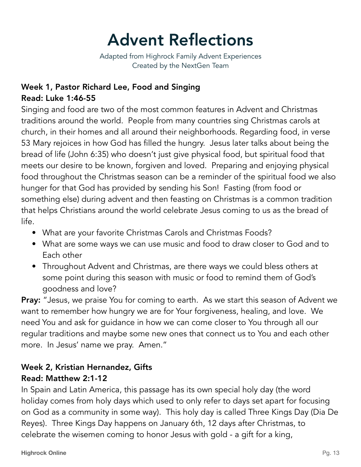# Advent Reflections

Adapted from Highrock Family Advent Experiences Created by the NextGen Team

## Week 1, Pastor Richard Lee, Food and Singing Read: Luke 1:46-55

Singing and food are two of the most common features in Advent and Christmas traditions around the world. People from many countries sing Christmas carols at church, in their homes and all around their neighborhoods. Regarding food, in verse 53 Mary rejoices in how God has filled the hungry. Jesus later talks about being the bread of life (John 6:35) who doesn't just give physical food, but spiritual food that meets our desire to be known, forgiven and loved. Preparing and enjoying physical food throughout the Christmas season can be a reminder of the spiritual food we also hunger for that God has provided by sending his Son! Fasting (from food or something else) during advent and then feasting on Christmas is a common tradition that helps Christians around the world celebrate Jesus coming to us as the bread of life.

- What are your favorite Christmas Carols and Christmas Foods?
- What are some ways we can use music and food to draw closer to God and to Each other
- Throughout Advent and Christmas, are there ways we could bless others at some point during this season with music or food to remind them of God's goodness and love?

Pray: "Jesus, we praise You for coming to earth. As we start this season of Advent we want to remember how hungry we are for Your forgiveness, healing, and love. We need You and ask for guidance in how we can come closer to You through all our regular traditions and maybe some new ones that connect us to You and each other more. In Jesus' name we pray. Amen."

#### Week 2, Kristian Hernandez, Gifts Read: Matthew 2:1-12

In Spain and Latin America, this passage has its own special holy day (the word holiday comes from holy days which used to only refer to days set apart for focusing on God as a community in some way). This holy day is called Three Kings Day (Dia De Reyes). Three Kings Day happens on January 6th, 12 days after Christmas, to celebrate the wisemen coming to honor Jesus with gold - a gift for a king,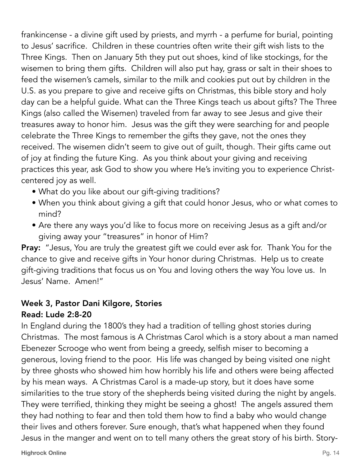frankincense - a divine gift used by priests, and myrrh - a perfume for burial, pointing to Jesus' sacrifice. Children in these countries often write their gift wish lists to the Three Kings. Then on January 5th they put out shoes, kind of like stockings, for the wisemen to bring them gifts. Children will also put hay, grass or salt in their shoes to feed the wisemen's camels, similar to the milk and cookies put out by children in the U.S. as you prepare to give and receive gifts on Christmas, this bible story and holy day can be a helpful guide. What can the Three Kings teach us about gifts? The Three Kings (also called the Wisemen) traveled from far away to see Jesus and give their treasures away to honor him. Jesus was the gift they were searching for and people celebrate the Three Kings to remember the gifts they gave, not the ones they received. The wisemen didn't seem to give out of guilt, though. Their gifts came out of joy at finding the future King. As you think about your giving and receiving practices this year, ask God to show you where He's inviting you to experience Christcentered joy as well.

- What do you like about our gift-giving traditions?
- When you think about giving a gift that could honor Jesus, who or what comes to mind?
- Are there any ways you'd like to focus more on receiving Jesus as a gift and/or giving away your "treasures" in honor of Him?

Pray: "Jesus, You are truly the greatest gift we could ever ask for. Thank You for the chance to give and receive gifts in Your honor during Christmas. Help us to create gift-giving traditions that focus us on You and loving others the way You love us. In Jesus' Name. Amen!"

## Week 3, Pastor Dani Kilgore, Stories

## Read: Lude 2:8-20

In England during the 1800's they had a tradition of telling ghost stories during Christmas. The most famous is A Christmas Carol which is a story about a man named Ebenezer Scrooge who went from being a greedy, selfish miser to becoming a generous, loving friend to the poor. His life was changed by being visited one night by three ghosts who showed him how horribly his life and others were being affected by his mean ways. A Christmas Carol is a made-up story, but it does have some similarities to the true story of the shepherds being visited during the night by angels. They were terrified, thinking they might be seeing a ghost! The angels assured them they had nothing to fear and then told them how to find a baby who would change their lives and others forever. Sure enough, that's what happened when they found Jesus in the manger and went on to tell many others the great story of his birth. Story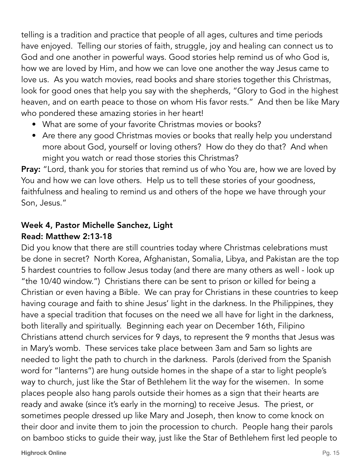telling is a tradition and practice that people of all ages, cultures and time periods have enjoyed. Telling our stories of faith, struggle, joy and healing can connect us to God and one another in powerful ways. Good stories help remind us of who God is, how we are loved by Him, and how we can love one another the way Jesus came to love us. As you watch movies, read books and share stories together this Christmas, look for good ones that help you say with the shepherds, "Glory to God in the highest heaven, and on earth peace to those on whom His favor rests." And then be like Mary who pondered these amazing stories in her heart!

- What are some of your favorite Christmas movies or books?
- Are there any good Christmas movies or books that really help you understand more about God, yourself or loving others? How do they do that? And when might you watch or read those stories this Christmas?

**Pray:** "Lord, thank you for stories that remind us of who You are, how we are loved by You and how we can love others. Help us to tell these stories of your goodness, faithfulness and healing to remind us and others of the hope we have through your Son, Jesus."

## Week 4, Pastor Michelle Sanchez, Light Read: Matthew 2:13-18

Did you know that there are still countries today where Christmas celebrations must be done in secret? North Korea, Afghanistan, Somalia, Libya, and Pakistan are the top 5 hardest countries to follow Jesus today (and there are many others as well - look up "the 10/40 window.") Christians there can be sent to prison or killed for being a Christian or even having a Bible. We can pray for Christians in these countries to keep having courage and faith to shine Jesus' light in the darkness. In the Philippines, they have a special tradition that focuses on the need we all have for light in the darkness, both literally and spiritually. Beginning each year on December 16th, Filipino Christians attend church services for 9 days, to represent the 9 months that Jesus was in Mary's womb. These services take place between 3am and 5am so lights are needed to light the path to church in the darkness. Parols (derived from the Spanish word for "lanterns") are hung outside homes in the shape of a star to light people's way to church, just like the Star of Bethlehem lit the way for the wisemen. In some places people also hang parols outside their homes as a sign that their hearts are ready and awake (since it's early in the morning) to receive Jesus. The priest, or sometimes people dressed up like Mary and Joseph, then know to come knock on their door and invite them to join the procession to church. People hang their parols on bamboo sticks to guide their way, just like the Star of Bethlehem first led people to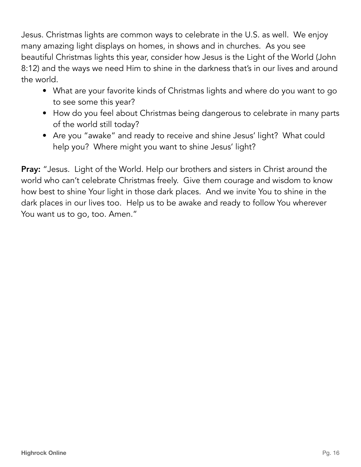Jesus. Christmas lights are common ways to celebrate in the U.S. as well. We enjoy many amazing light displays on homes, in shows and in churches. As you see beautiful Christmas lights this year, consider how Jesus is the Light of the World (John 8:12) and the ways we need Him to shine in the darkness that's in our lives and around the world.

- What are your favorite kinds of Christmas lights and where do you want to go to see some this year?
- How do you feel about Christmas being dangerous to celebrate in many parts of the world still today?
- Are you "awake" and ready to receive and shine Jesus' light? What could help you? Where might you want to shine Jesus' light?

Pray: "Jesus. Light of the World. Help our brothers and sisters in Christ around the world who can't celebrate Christmas freely. Give them courage and wisdom to know how best to shine Your light in those dark places. And we invite You to shine in the dark places in our lives too. Help us to be awake and ready to follow You wherever You want us to go, too. Amen."